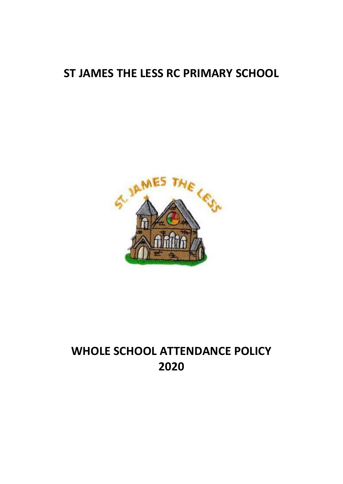## **ST JAMES THE LESS RC PRIMARY SCHOOL**



# **WHOLE SCHOOL ATTENDANCE POLICY 2020**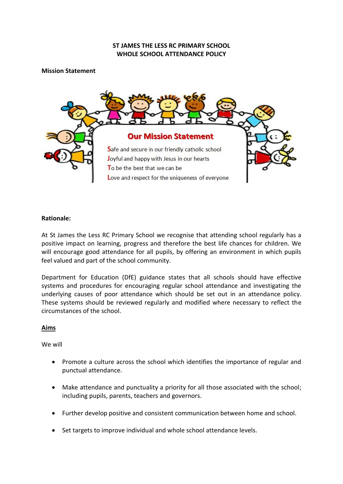## **ST JAMES THE LESS RC PRIMARY SCHOOL WHOLE SCHOOL ATTENDANCE POLICY**

## **Mission Statement**



#### **Rationale:**

At St James the Less RC Primary School we recognise that attending school regularly has a positive impact on learning, progress and therefore the best life chances for children. We will encourage good attendance for all pupils, by offering an environment in which pupils feel valued and part of the school community.

Department for Education (DfE) guidance states that all schools should have effective systems and procedures for encouraging regular school attendance and investigating the underlying causes of poor attendance which should be set out in an attendance policy. These systems should be reviewed regularly and modified where necessary to reflect the circumstances of the school.

#### **Aims**

We will

- Promote a culture across the school which identifies the importance of regular and punctual attendance.
- Make attendance and punctuality a priority for all those associated with the school; including pupils, parents, teachers and governors.
- Further develop positive and consistent communication between home and school.
- Set targets to improve individual and whole school attendance levels.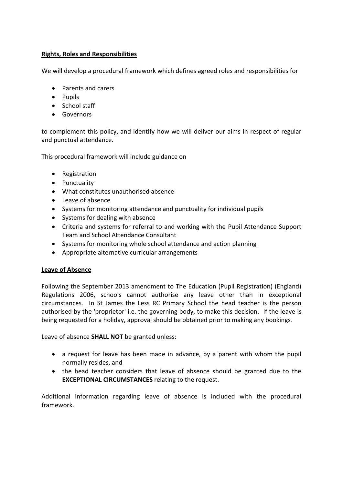## **Rights, Roles and Responsibilities**

We will develop a procedural framework which defines agreed roles and responsibilities for

- Parents and carers
- Pupils
- School staff
- **•** Governors

to complement this policy, and identify how we will deliver our aims in respect of regular and punctual attendance.

This procedural framework will include guidance on

- Registration
- Punctuality
- What constitutes unauthorised absence
- $\bullet$  Leave of absence
- Systems for monitoring attendance and punctuality for individual pupils
- Systems for dealing with absence
- Criteria and systems for referral to and working with the Pupil Attendance Support Team and School Attendance Consultant
- Systems for monitoring whole school attendance and action planning
- Appropriate alternative curricular arrangements

#### **Leave of Absence**

Following the September 2013 amendment to The Education (Pupil Registration) (England) Regulations 2006, schools cannot authorise any leave other than in exceptional circumstances. In St James the Less RC Primary School the head teacher is the person authorised by the 'proprietor' i.e. the governing body, to make this decision. If the leave is being requested for a holiday, approval should be obtained prior to making any bookings.

Leave of absence **SHALL NOT** be granted unless:

- a request for leave has been made in advance, by a parent with whom the pupil normally resides, and
- the head teacher considers that leave of absence should be granted due to the **EXCEPTIONAL CIRCUMSTANCES** relating to the request.

Additional information regarding leave of absence is included with the procedural framework.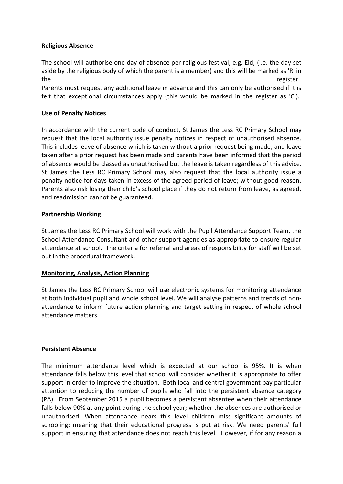## **Religious Absence**

The school will authorise one day of absence per religious festival, e.g. Eid, (i.e. the day set aside by the religious body of which the parent is a member) and this will be marked as 'R' in the register.

Parents must request any additional leave in advance and this can only be authorised if it is felt that exceptional circumstances apply (this would be marked in the register as 'C').

## **Use of Penalty Notices**

In accordance with the current code of conduct, St James the Less RC Primary School may request that the local authority issue penalty notices in respect of unauthorised absence. This includes leave of absence which is taken without a prior request being made; and leave taken after a prior request has been made and parents have been informed that the period of absence would be classed as unauthorised but the leave is taken regardless of this advice. St James the Less RC Primary School may also request that the local authority issue a penalty notice for days taken in excess of the agreed period of leave; without good reason. Parents also risk losing their child's school place if they do not return from leave, as agreed, and readmission cannot be guaranteed.

#### **Partnership Working**

St James the Less RC Primary School will work with the Pupil Attendance Support Team, the School Attendance Consultant and other support agencies as appropriate to ensure regular attendance at school. The criteria for referral and areas of responsibility for staff will be set out in the procedural framework.

#### **Monitoring, Analysis, Action Planning**

St James the Less RC Primary School will use electronic systems for monitoring attendance at both individual pupil and whole school level. We will analyse patterns and trends of nonattendance to inform future action planning and target setting in respect of whole school attendance matters.

#### **Persistent Absence**

The minimum attendance level which is expected at our school is 95%. It is when attendance falls below this level that school will consider whether it is appropriate to offer support in order to improve the situation. Both local and central government pay particular attention to reducing the number of pupils who fall into the persistent absence category (PA). From September 2015 a pupil becomes a persistent absentee when their attendance falls below 90% at any point during the school year; whether the absences are authorised or unauthorised. When attendance nears this level children miss significant amounts of schooling; meaning that their educational progress is put at risk. We need parents' full support in ensuring that attendance does not reach this level. However, if for any reason a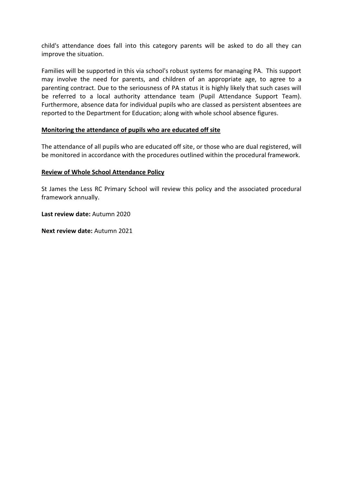child's attendance does fall into this category parents will be asked to do all they can improve the situation.

Families will be supported in this via school's robust systems for managing PA. This support may involve the need for parents, and children of an appropriate age, to agree to a parenting contract. Due to the seriousness of PA status it is highly likely that such cases will be referred to a local authority attendance team (Pupil Attendance Support Team). Furthermore, absence data for individual pupils who are classed as persistent absentees are reported to the Department for Education; along with whole school absence figures.

## **Monitoring the attendance of pupils who are educated off site**

The attendance of all pupils who are educated off site, or those who are dual registered, will be monitored in accordance with the procedures outlined within the procedural framework.

#### **Review of Whole School Attendance Policy**

St James the Less RC Primary School will review this policy and the associated procedural framework annually.

**Last review date:** Autumn 2020

**Next review date:** Autumn 2021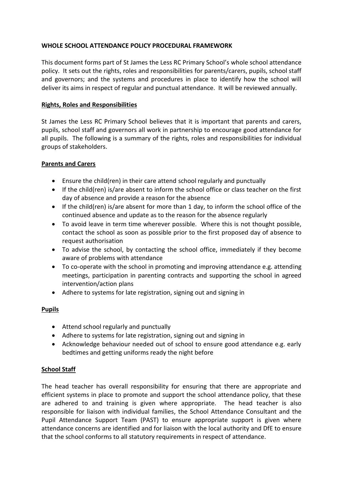## **WHOLE SCHOOL ATTENDANCE POLICY PROCEDURAL FRAMEWORK**

This document forms part of St James the Less RC Primary School's whole school attendance policy. It sets out the rights, roles and responsibilities for parents/carers, pupils, school staff and governors; and the systems and procedures in place to identify how the school will deliver its aims in respect of regular and punctual attendance. It will be reviewed annually.

## **Rights, Roles and Responsibilities**

St James the Less RC Primary School believes that it is important that parents and carers, pupils, school staff and governors all work in partnership to encourage good attendance for all pupils. The following is a summary of the rights, roles and responsibilities for individual groups of stakeholders.

## **Parents and Carers**

- Ensure the child(ren) in their care attend school regularly and punctually
- If the child(ren) is/are absent to inform the school office or class teacher on the first day of absence and provide a reason for the absence
- If the child(ren) is/are absent for more than 1 day, to inform the school office of the continued absence and update as to the reason for the absence regularly
- To avoid leave in term time wherever possible. Where this is not thought possible, contact the school as soon as possible prior to the first proposed day of absence to request authorisation
- To advise the school, by contacting the school office, immediately if they become aware of problems with attendance
- To co-operate with the school in promoting and improving attendance e.g. attending meetings, participation in parenting contracts and supporting the school in agreed intervention/action plans
- Adhere to systems for late registration, signing out and signing in

## **Pupils**

- Attend school regularly and punctually
- Adhere to systems for late registration, signing out and signing in
- Acknowledge behaviour needed out of school to ensure good attendance e.g. early bedtimes and getting uniforms ready the night before

## **School Staff**

The head teacher has overall responsibility for ensuring that there are appropriate and efficient systems in place to promote and support the school attendance policy, that these are adhered to and training is given where appropriate. The head teacher is also responsible for liaison with individual families, the School Attendance Consultant and the Pupil Attendance Support Team (PAST) to ensure appropriate support is given where attendance concerns are identified and for liaison with the local authority and DfE to ensure that the school conforms to all statutory requirements in respect of attendance.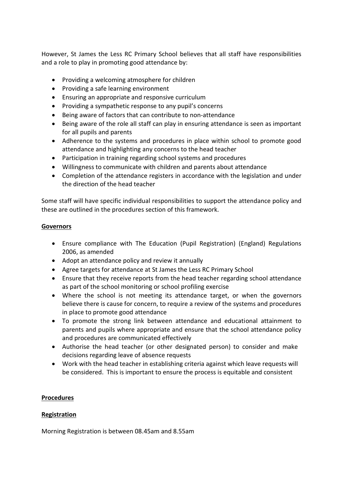However, St James the Less RC Primary School believes that all staff have responsibilities and a role to play in promoting good attendance by:

- Providing a welcoming atmosphere for children
- Providing a safe learning environment
- Ensuring an appropriate and responsive curriculum
- Providing a sympathetic response to any pupil's concerns
- Being aware of factors that can contribute to non-attendance
- Being aware of the role all staff can play in ensuring attendance is seen as important for all pupils and parents
- Adherence to the systems and procedures in place within school to promote good attendance and highlighting any concerns to the head teacher
- Participation in training regarding school systems and procedures
- Willingness to communicate with children and parents about attendance
- Completion of the attendance registers in accordance with the legislation and under the direction of the head teacher

Some staff will have specific individual responsibilities to support the attendance policy and these are outlined in the procedures section of this framework.

## **Governors**

- Ensure compliance with The Education (Pupil Registration) (England) Regulations 2006, as amended
- Adopt an attendance policy and review it annually
- Agree targets for attendance at St James the Less RC Primary School
- Ensure that they receive reports from the head teacher regarding school attendance as part of the school monitoring or school profiling exercise
- Where the school is not meeting its attendance target, or when the governors believe there is cause for concern, to require a review of the systems and procedures in place to promote good attendance
- To promote the strong link between attendance and educational attainment to parents and pupils where appropriate and ensure that the school attendance policy and procedures are communicated effectively
- Authorise the head teacher (or other designated person) to consider and make decisions regarding leave of absence requests
- Work with the head teacher in establishing criteria against which leave requests will be considered. This is important to ensure the process is equitable and consistent

## **Procedures**

## **Registration**

Morning Registration is between 08.45am and 8.55am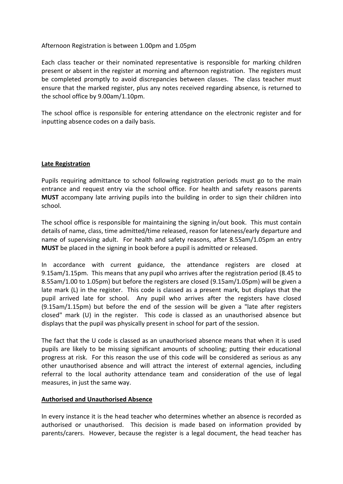## Afternoon Registration is between 1.00pm and 1.05pm

Each class teacher or their nominated representative is responsible for marking children present or absent in the register at morning and afternoon registration. The registers must be completed promptly to avoid discrepancies between classes. The class teacher must ensure that the marked register, plus any notes received regarding absence, is returned to the school office by 9.00am/1.10pm.

The school office is responsible for entering attendance on the electronic register and for inputting absence codes on a daily basis.

## **Late Registration**

Pupils requiring admittance to school following registration periods must go to the main entrance and request entry via the school office. For health and safety reasons parents **MUST** accompany late arriving pupils into the building in order to sign their children into school.

The school office is responsible for maintaining the signing in/out book. This must contain details of name, class, time admitted/time released, reason for lateness/early departure and name of supervising adult. For health and safety reasons, after 8.55am/1.05pm an entry **MUST** be placed in the signing in book before a pupil is admitted or released.

In accordance with current guidance, the attendance registers are closed at 9.15am/1.15pm. This means that any pupil who arrives after the registration period (8.45 to 8.55am/1.00 to 1.05pm) but before the registers are closed (9.15am/1.05pm) will be given a late mark (L) in the register. This code is classed as a present mark, but displays that the pupil arrived late for school. Any pupil who arrives after the registers have closed (9.15am/1.15pm) but before the end of the session will be given a "late after registers closed" mark (U) in the register. This code is classed as an unauthorised absence but displays that the pupil was physically present in school for part of the session.

The fact that the U code is classed as an unauthorised absence means that when it is used pupils are likely to be missing significant amounts of schooling; putting their educational progress at risk. For this reason the use of this code will be considered as serious as any other unauthorised absence and will attract the interest of external agencies, including referral to the local authority attendance team and consideration of the use of legal measures, in just the same way.

#### **Authorised and Unauthorised Absence**

In every instance it is the head teacher who determines whether an absence is recorded as authorised or unauthorised. This decision is made based on information provided by parents/carers. However, because the register is a legal document, the head teacher has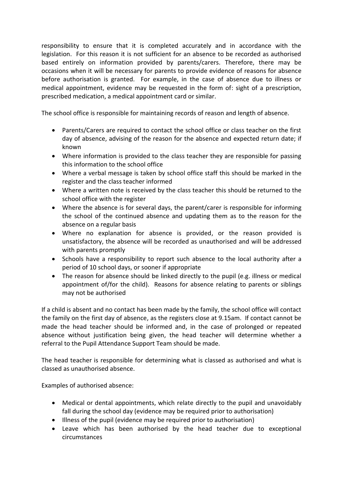responsibility to ensure that it is completed accurately and in accordance with the legislation. For this reason it is not sufficient for an absence to be recorded as authorised based entirely on information provided by parents/carers. Therefore, there may be occasions when it will be necessary for parents to provide evidence of reasons for absence before authorisation is granted. For example, in the case of absence due to illness or medical appointment, evidence may be requested in the form of: sight of a prescription, prescribed medication, a medical appointment card or similar.

The school office is responsible for maintaining records of reason and length of absence.

- Parents/Carers are required to contact the school office or class teacher on the first day of absence, advising of the reason for the absence and expected return date; if known
- Where information is provided to the class teacher they are responsible for passing this information to the school office
- Where a verbal message is taken by school office staff this should be marked in the register and the class teacher informed
- Where a written note is received by the class teacher this should be returned to the school office with the register
- Where the absence is for several days, the parent/carer is responsible for informing the school of the continued absence and updating them as to the reason for the absence on a regular basis
- Where no explanation for absence is provided, or the reason provided is unsatisfactory, the absence will be recorded as unauthorised and will be addressed with parents promptly
- Schools have a responsibility to report such absence to the local authority after a period of 10 school days, or sooner if appropriate
- The reason for absence should be linked directly to the pupil (e.g. illness or medical appointment of/for the child). Reasons for absence relating to parents or siblings may not be authorised

If a child is absent and no contact has been made by the family, the school office will contact the family on the first day of absence, as the registers close at 9.15am. If contact cannot be made the head teacher should be informed and, in the case of prolonged or repeated absence without justification being given, the head teacher will determine whether a referral to the Pupil Attendance Support Team should be made.

The head teacher is responsible for determining what is classed as authorised and what is classed as unauthorised absence.

Examples of authorised absence:

- Medical or dental appointments, which relate directly to the pupil and unavoidably fall during the school day (evidence may be required prior to authorisation)
- Illness of the pupil (evidence may be required prior to authorisation)
- Leave which has been authorised by the head teacher due to exceptional circumstances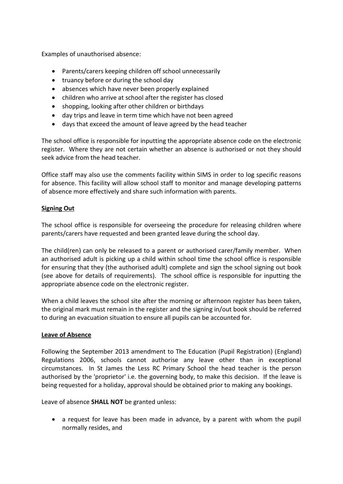Examples of unauthorised absence:

- Parents/carers keeping children off school unnecessarily
- truancy before or during the school day
- absences which have never been properly explained
- children who arrive at school after the register has closed
- shopping, looking after other children or birthdays
- day trips and leave in term time which have not been agreed
- days that exceed the amount of leave agreed by the head teacher

The school office is responsible for inputting the appropriate absence code on the electronic register. Where they are not certain whether an absence is authorised or not they should seek advice from the head teacher.

Office staff may also use the comments facility within SIMS in order to log specific reasons for absence. This facility will allow school staff to monitor and manage developing patterns of absence more effectively and share such information with parents.

## **Signing Out**

The school office is responsible for overseeing the procedure for releasing children where parents/carers have requested and been granted leave during the school day.

The child(ren) can only be released to a parent or authorised carer/family member. When an authorised adult is picking up a child within school time the school office is responsible for ensuring that they (the authorised adult) complete and sign the school signing out book (see above for details of requirements). The school office is responsible for inputting the appropriate absence code on the electronic register.

When a child leaves the school site after the morning or afternoon register has been taken, the original mark must remain in the register and the signing in/out book should be referred to during an evacuation situation to ensure all pupils can be accounted for.

#### **Leave of Absence**

Following the September 2013 amendment to The Education (Pupil Registration) (England) Regulations 2006, schools cannot authorise any leave other than in exceptional circumstances. In St James the Less RC Primary School the head teacher is the person authorised by the 'proprietor' i.e. the governing body, to make this decision. If the leave is being requested for a holiday, approval should be obtained prior to making any bookings.

Leave of absence **SHALL NOT** be granted unless:

• a request for leave has been made in advance, by a parent with whom the pupil normally resides, and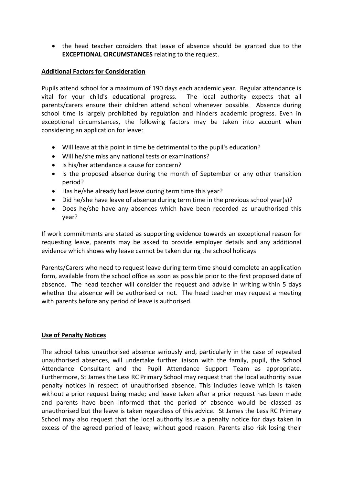the head teacher considers that leave of absence should be granted due to the **EXCEPTIONAL CIRCUMSTANCES** relating to the request.

## **Additional Factors for Consideration**

Pupils attend school for a maximum of 190 days each academic year. Regular attendance is vital for your child's educational progress. The local authority expects that all parents/carers ensure their children attend school whenever possible. Absence during school time is largely prohibited by regulation and hinders academic progress. Even in exceptional circumstances, the following factors may be taken into account when considering an application for leave:

- Will leave at this point in time be detrimental to the pupil's education?
- Will he/she miss any national tests or examinations?
- Is his/her attendance a cause for concern?
- Is the proposed absence during the month of September or any other transition period?
- Has he/she already had leave during term time this year?
- Did he/she have leave of absence during term time in the previous school year(s)?
- Does he/she have any absences which have been recorded as unauthorised this year?

If work commitments are stated as supporting evidence towards an exceptional reason for requesting leave, parents may be asked to provide employer details and any additional evidence which shows why leave cannot be taken during the school holidays

Parents/Carers who need to request leave during term time should complete an application form, available from the school office as soon as possible prior to the first proposed date of absence. The head teacher will consider the request and advise in writing within 5 days whether the absence will be authorised or not. The head teacher may request a meeting with parents before any period of leave is authorised.

## **Use of Penalty Notices**

The school takes unauthorised absence seriously and, particularly in the case of repeated unauthorised absences, will undertake further liaison with the family, pupil, the School Attendance Consultant and the Pupil Attendance Support Team as appropriate. Furthermore, St James the Less RC Primary School may request that the local authority issue penalty notices in respect of unauthorised absence. This includes leave which is taken without a prior request being made; and leave taken after a prior request has been made and parents have been informed that the period of absence would be classed as unauthorised but the leave is taken regardless of this advice. St James the Less RC Primary School may also request that the local authority issue a penalty notice for days taken in excess of the agreed period of leave; without good reason. Parents also risk losing their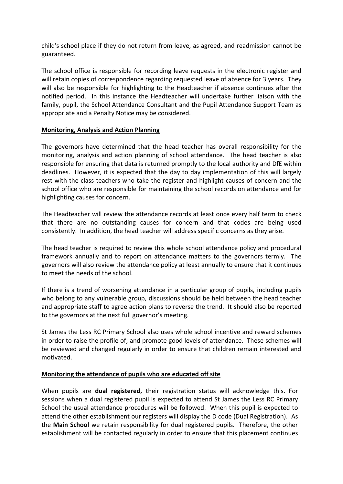child's school place if they do not return from leave, as agreed, and readmission cannot be guaranteed.

The school office is responsible for recording leave requests in the electronic register and will retain copies of correspondence regarding requested leave of absence for 3 years. They will also be responsible for highlighting to the Headteacher if absence continues after the notified period. In this instance the Headteacher will undertake further liaison with the family, pupil, the School Attendance Consultant and the Pupil Attendance Support Team as appropriate and a Penalty Notice may be considered.

## **Monitoring, Analysis and Action Planning**

The governors have determined that the head teacher has overall responsibility for the monitoring, analysis and action planning of school attendance. The head teacher is also responsible for ensuring that data is returned promptly to the local authority and DfE within deadlines. However, it is expected that the day to day implementation of this will largely rest with the class teachers who take the register and highlight causes of concern and the school office who are responsible for maintaining the school records on attendance and for highlighting causes for concern.

The Headteacher will review the attendance records at least once every half term to check that there are no outstanding causes for concern and that codes are being used consistently. In addition, the head teacher will address specific concerns as they arise.

The head teacher is required to review this whole school attendance policy and procedural framework annually and to report on attendance matters to the governors termly. The governors will also review the attendance policy at least annually to ensure that it continues to meet the needs of the school.

If there is a trend of worsening attendance in a particular group of pupils, including pupils who belong to any vulnerable group, discussions should be held between the head teacher and appropriate staff to agree action plans to reverse the trend. It should also be reported to the governors at the next full governor's meeting.

St James the Less RC Primary School also uses whole school incentive and reward schemes in order to raise the profile of; and promote good levels of attendance. These schemes will be reviewed and changed regularly in order to ensure that children remain interested and motivated.

## **Monitoring the attendance of pupils who are educated off site**

When pupils are **dual registered,** their registration status will acknowledge this. For sessions when a dual registered pupil is expected to attend St James the Less RC Primary School the usual attendance procedures will be followed. When this pupil is expected to attend the other establishment our registers will display the D code (Dual Registration). As the **Main School** we retain responsibility for dual registered pupils. Therefore, the other establishment will be contacted regularly in order to ensure that this placement continues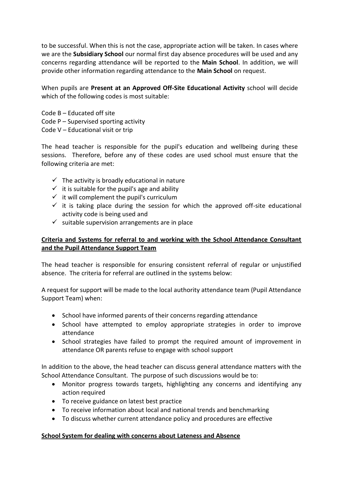to be successful. When this is not the case, appropriate action will be taken. In cases where we are the **Subsidiary School** our normal first day absence procedures will be used and any concerns regarding attendance will be reported to the **Main School**. In addition, we will provide other information regarding attendance to the **Main School** on request.

When pupils are **Present at an Approved Off-Site Educational Activity** school will decide which of the following codes is most suitable:

Code B – Educated off site Code P – Supervised sporting activity

Code V – Educational visit or trip

The head teacher is responsible for the pupil's education and wellbeing during these sessions. Therefore, before any of these codes are used school must ensure that the following criteria are met:

- $\checkmark$  The activity is broadly educational in nature
- $\checkmark$  it is suitable for the pupil's age and ability
- $\checkmark$  it will complement the pupil's curriculum
- $\checkmark$  it is taking place during the session for which the approved off-site educational activity code is being used and
- $\checkmark$  suitable supervision arrangements are in place

## **Criteria and Systems for referral to and working with the School Attendance Consultant and the Pupil Attendance Support Team**

The head teacher is responsible for ensuring consistent referral of regular or unjustified absence. The criteria for referral are outlined in the systems below:

A request for support will be made to the local authority attendance team (Pupil Attendance Support Team) when:

- School have informed parents of their concerns regarding attendance
- School have attempted to employ appropriate strategies in order to improve attendance
- School strategies have failed to prompt the required amount of improvement in attendance OR parents refuse to engage with school support

In addition to the above, the head teacher can discuss general attendance matters with the School Attendance Consultant. The purpose of such discussions would be to:

- Monitor progress towards targets, highlighting any concerns and identifying any action required
- To receive guidance on latest best practice
- To receive information about local and national trends and benchmarking
- To discuss whether current attendance policy and procedures are effective

#### **School System for dealing with concerns about Lateness and Absence**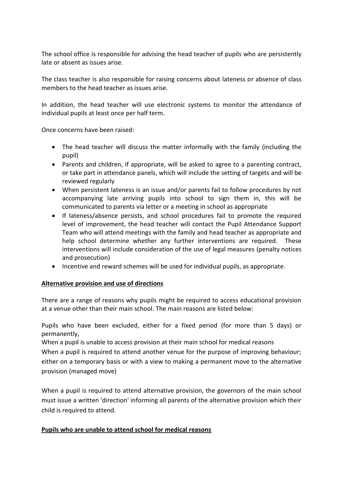The school office is responsible for advising the head teacher of pupils who are persistently late or absent as issues arise.

The class teacher is also responsible for raising concerns about lateness or absence of class members to the head teacher as issues arise.

In addition, the head teacher will use electronic systems to monitor the attendance of individual pupils at least once per half term.

Once concerns have been raised:

- The head teacher will discuss the matter informally with the family (including the pupil)
- Parents and children, if appropriate, will be asked to agree to a parenting contract, or take part in attendance panels, which will include the setting of targets and will be reviewed regularly
- When persistent lateness is an issue and/or parents fail to follow procedures by not accompanying late arriving pupils into school to sign them in, this will be communicated to parents via letter or a meeting in school as appropriate
- If lateness/absence persists, and school procedures fail to promote the required level of improvement, the head teacher will contact the Pupil Attendance Support Team who will attend meetings with the family and head teacher as appropriate and help school determine whether any further interventions are required. These interventions will include consideration of the use of legal measures (penalty notices and prosecution)
- Incentive and reward schemes will be used for individual pupils, as appropriate.

#### **Alternative provision and use of directions**

There are a range of reasons why pupils might be required to access educational provision at a venue other than their main school. The main reasons are listed below:

Pupils who have been excluded, either for a fixed period (for more than 5 days) or permanently,

When a pupil is unable to access provision at their main school for medical reasons

When a pupil is required to attend another venue for the purpose of improving behaviour; either on a temporary basis or with a view to making a permanent move to the alternative provision (managed move)

When a pupil is required to attend alternative provision, the governors of the main school must issue a written 'direction' informing all parents of the alternative provision which their child is required to attend.

## **Pupils who are unable to attend school for medical reasons**